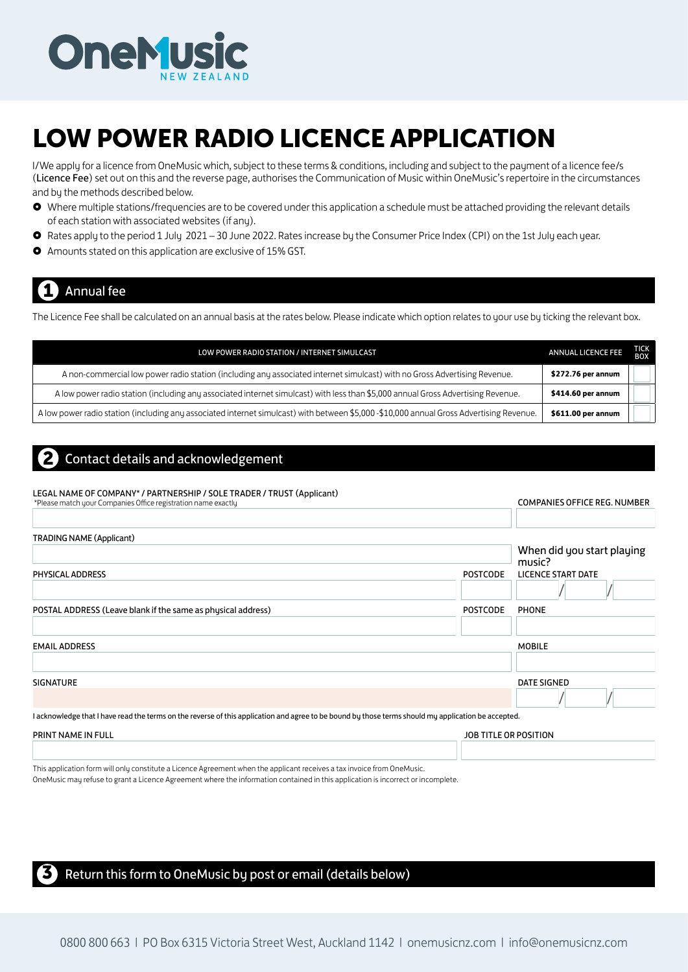

## LOW POWER RADIO LICENCE APPLICATION

I/We apply for a licence from OneMusic which, subject to these terms & conditions, including and subject to the payment of a licence fee/s (Licence Fee) set out on this and the reverse page, authorises the Communication of Music within OneMusic's repertoire in the circumstances and by the methods described below.

- Where multiple stations/frequencies are to be covered under this application a schedule must be attached providing the relevant details of each station with associated websites (if any).
- Rates apply to the period 1 July 2021 30 June 2022. Rates increase by the Consumer Price Index (CPI) on the 1st July each year.
- Amounts stated on this application are exclusive of 15% GST.

## **Annual fee**

The Licence Fee shall be calculated on an annual basis at the rates below. Please indicate which option relates to your use by ticking the relevant box.

| LOW POWER RADIO STATION / INTERNET SIMULCAST                                                                                             | <b>ANNUAL LICENCE FEE</b> | TICK<br><b>BOX</b> |
|------------------------------------------------------------------------------------------------------------------------------------------|---------------------------|--------------------|
| A non-commercial low power radio station (including any associated internet simulcast) with no Gross Advertising Revenue.                | \$272.76 per annum        |                    |
| A low power radio station (including any associated internet simulcast) with less than \$5,000 annual Gross Advertising Revenue.         | \$414.60 per annum        |                    |
| A low power radio station (including any associated internet simulcast) with between \$5,000 -\$10,000 annual Gross Advertising Revenue. | \$611.00 per annum        |                    |

## 2 Contact details and acknowledgement

#### LEGAL NAME OF COMPANY\* / PARTNERSHIP / SOLE TRADER / TRUST (Applicant)

| *Please match your Companies Office registration name exactly                                                                                       |                 | <b>COMPANIES OFFICE REG. NUMBER</b> |
|-----------------------------------------------------------------------------------------------------------------------------------------------------|-----------------|-------------------------------------|
| <b>TRADING NAME (Applicant)</b>                                                                                                                     |                 | When did you start playing          |
| PHYSICAL ADDRESS                                                                                                                                    | <b>POSTCODE</b> | music?<br>LICENCE START DATE        |
| POSTAL ADDRESS (Leave blank if the same as physical address)                                                                                        | <b>POSTCODE</b> | PHONE                               |
| <b>EMAIL ADDRESS</b>                                                                                                                                |                 | <b>MOBILE</b>                       |
| <b>SIGNATURE</b>                                                                                                                                    |                 | DATE SIGNED                         |
| I acknowledge that I have read the terms on the reverse of this application and agree to be bound by those terms should my application be accepted. |                 |                                     |

| PRINT NAME IN FULL | JOB<br><b>OSITION</b><br>ΩR<br>μ |
|--------------------|----------------------------------|
|                    |                                  |

This application form will only constitute a Licence Agreement when the applicant receives a tax invoice from OneMusic.

OneMusic may refuse to grant a Licence Agreement where the information contained in this application is incorrect or incomplete.

#### Return this form to OneMusic by post or email (details below)